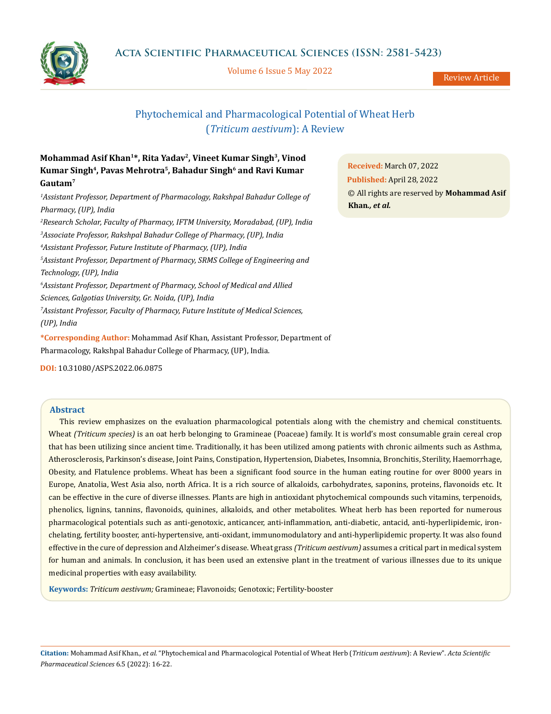

Volume 6 Issue 5 May 2022

Review Article

# Phytochemical and Pharmacological Potential of Wheat Herb (*Triticum aestivum*): A Review

## **Mohammad Asif Khan1\*, Rita Yadav2, Vineet Kumar Singh3, Vinod**  Kumar Singh<sup>4</sup>, Pavas Mehrotra<sup>5</sup>, Bahadur Singh<sup>6</sup> and Ravi Kumar **Gautam7**

<sup>1</sup> Assistant Professor, Department of Pharmacology, Rakshpal Bahadur College of *Pharmacy, (UP), India 2 Research Scholar, Faculty of Pharmacy, IFTM University, Moradabad, (UP), India 3 Associate Professor, Rakshpal Bahadur College of Pharmacy, (UP), India 4 Assistant Professor, Future Institute of Pharmacy, (UP), India 5 Assistant Professor, Department of Pharmacy, SRMS College of Engineering and Technology, (UP), India 6 Assistant Professor, Department of Pharmacy, School of Medical and Allied Sciences, Galgotias University, Gr. Noida, (UP), India 7 Assistant Professor, Faculty of Pharmacy, Future Institute of Medical Sciences, (UP), India*

**\*Corresponding Author:** Mohammad Asif Khan, Assistant Professor, Department of Pharmacology, Rakshpal Bahadur College of Pharmacy, (UP), India.

**DOI:** [10.31080/ASPS.2022.06.0875](http://actascientific.com/ASPS/pdf/ASPS-06-0875.pdf)

## **Abstract**

This review emphasizes on the evaluation pharmacological potentials along with the chemistry and chemical constituents. Wheat *(Triticum species)* is an oat herb belonging to Gramineae (Poaceae) family. It is world's most consumable grain cereal crop that has been utilizing since ancient time. Traditionally, it has been utilized among patients with chronic ailments such as Asthma, Atherosclerosis, Parkinson's disease, Joint Pains, Constipation, Hypertension, Diabetes, Insomnia, Bronchitis, Sterility, Haemorrhage, Obesity, and Flatulence problems. Wheat has been a significant food source in the human eating routine for over 8000 years in Europe, Anatolia, West Asia also, north Africa. It is a rich source of alkaloids, carbohydrates, saponins, proteins, flavonoids etc. It can be effective in the cure of diverse illnesses. Plants are high in antioxidant phytochemical compounds such vitamins, terpenoids, phenolics, lignins, tannins, flavonoids, quinines, alkaloids, and other metabolites. Wheat herb has been reported for numerous pharmacological potentials such as anti-genotoxic, anticancer, anti-inflammation, anti-diabetic, antacid, anti-hyperlipidemic, ironchelating, fertility booster, anti-hypertensive, anti-oxidant, immunomodulatory and anti-hyperlipidemic property. It was also found effective in the cure of depression and Alzheimer's disease. Wheat grass *(Triticum aestivum)* assumes a critical part in medical system for human and animals. In conclusion, it has been used an extensive plant in the treatment of various illnesses due to its unique medicinal properties with easy availability.

**Keywords:** *Triticum aestivum;* Gramineae; Flavonoids; Genotoxic; Fertility-booster

**Citation:** Mohammad Asif Khan*., et al.* "Phytochemical and Pharmacological Potential of Wheat Herb (*Triticum aestivum*): A Review". *Acta Scientific Pharmaceutical Sciences* 6.5 (2022): 16-22.

**Received:** March 07, 2022 **Published:** April 28, 2022 © All rights are reserved by **Mohammad Asif Khan***., et al.*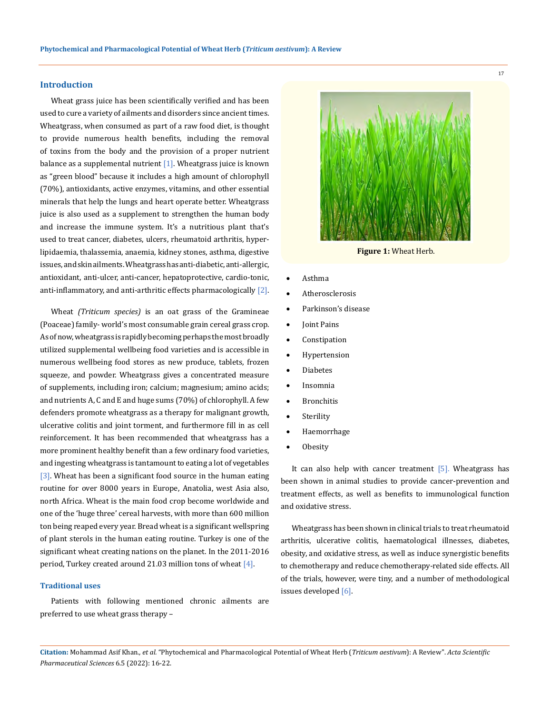#### **Introduction**

Wheat grass juice has been scientifically verified and has been used to cure a variety of ailments and disorders since ancient times. Wheatgrass, when consumed as part of a raw food diet, is thought to provide numerous health benefits, including the removal of toxins from the body and the provision of a proper nutrient balance as a supplemental nutrient  $[1]$ . Wheatgrass juice is known as "green blood" because it includes a high amount of chlorophyll (70%), antioxidants, active enzymes, vitamins, and other essential minerals that help the lungs and heart operate better. Wheatgrass juice is also used as a supplement to strengthen the human body and increase the immune system. It's a nutritious plant that's used to treat cancer, diabetes, ulcers, rheumatoid arthritis, hyperlipidaemia, thalassemia, anaemia, kidney stones, asthma, digestive issues, and skin ailments. Wheatgrass has anti-diabetic, anti-allergic, antioxidant, anti-ulcer, anti-cancer, hepatoprotective, cardio-tonic, anti-inflammatory, and anti-arthritic effects pharmacologically [2].

Wheat *(Triticum species)* is an oat grass of the Gramineae (Poaceae) family- world's most consumable grain cereal grass crop. As of now, wheatgrass is rapidly becoming perhaps the most broadly utilized supplemental wellbeing food varieties and is accessible in numerous wellbeing food stores as new produce, tablets, frozen squeeze, and powder. Wheatgrass gives a concentrated measure of supplements, including iron; calcium; magnesium; amino acids; and nutrients A, C and E and huge sums (70%) of chlorophyll. A few defenders promote wheatgrass as a therapy for malignant growth, ulcerative colitis and joint torment, and furthermore fill in as cell reinforcement. It has been recommended that wheatgrass has a more prominent healthy benefit than a few ordinary food varieties, and ingesting wheatgrass is tantamount to eating a lot of vegetables [3]. Wheat has been a significant food source in the human eating routine for over 8000 years in Europe, Anatolia, west Asia also, north Africa. Wheat is the main food crop become worldwide and one of the 'huge three' cereal harvests, with more than 600 million ton being reaped every year. Bread wheat is a significant wellspring of plant sterols in the human eating routine. Turkey is one of the significant wheat creating nations on the planet. In the 2011-2016 period, Turkey created around 21.03 million tons of wheat [4].

#### **Traditional uses**

Patients with following mentioned chronic ailments are preferred to use wheat grass therapy –



**Figure 1:** Wheat Herb.

- **Asthma**
- **Atherosclerosis**
- Parkinson's disease
- Joint Pains
- **Constipation**
- **Hypertension**
- **Diabetes**
- **Insomnia**
- **Bronchitis**
- Sterility
- **Haemorrhage**
- **Obesity**

It can also help with cancer treatment [5]. Wheatgrass has been shown in animal studies to provide cancer-prevention and treatment effects, as well as benefits to immunological function and oxidative stress.

Wheatgrass has been shown in clinical trials to treat rheumatoid arthritis, ulcerative colitis, haematological illnesses, diabetes, obesity, and oxidative stress, as well as induce synergistic benefits to chemotherapy and reduce chemotherapy-related side effects. All of the trials, however, were tiny, and a number of methodological issues developed [6].

**Citation:** Mohammad Asif Khan*., et al.* "Phytochemical and Pharmacological Potential of Wheat Herb (*Triticum aestivum*): A Review". *Acta Scientific Pharmaceutical Sciences* 6.5 (2022): 16-22.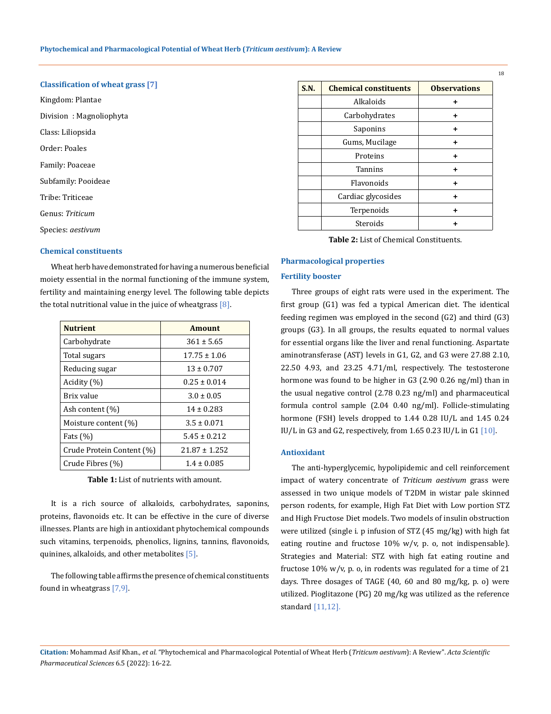## **Classification of wheat grass [7]**

Kingdom: Plantae Division : Magnoliophyta Class: Liliopsida Order: Poales Family: Poaceae Subfamily: Pooideae Tribe: Triticeae Genus: *Triticum*  Species: *aestivum*

## **Chemical constituents**

Wheat herb have demonstrated for having a numerous beneficial moiety essential in the normal functioning of the immune system, fertility and maintaining energy level. The following table depicts the total nutritional value in the juice of wheatgrass [8].

| <b>Nutrient</b>           | <b>Amount</b>     |  |
|---------------------------|-------------------|--|
| Carbohydrate              | $361 \pm 5.65$    |  |
| Total sugars              | $17.75 \pm 1.06$  |  |
| Reducing sugar            | $13 \pm 0.707$    |  |
| Acidity (%)               | $0.25 \pm 0.014$  |  |
| Brix value                | $3.0 \pm 0.05$    |  |
| Ash content (%)           | $14 \pm 0.283$    |  |
| Moisture content (%)      | $3.5 \pm 0.071$   |  |
| Fats $(\%)$               | $5.45 \pm 0.212$  |  |
| Crude Protein Content (%) | $21.87 \pm 1.252$ |  |
| Crude Fibres (%)          | $1.4 \pm 0.085$   |  |

**Table 1:** List of nutrients with amount.

It is a rich source of alkaloids, carbohydrates, saponins, proteins, flavonoids etc. It can be effective in the cure of diverse illnesses. Plants are high in antioxidant phytochemical compounds such vitamins, terpenoids, phenolics, lignins, tannins, flavonoids, quinines, alkaloids, and other metabolites [5].

The following table affirms the presence of chemical constituents found in wheatgrass [7,9].

| S.N. | <b>Chemical constituents</b> | <b>Observations</b> |
|------|------------------------------|---------------------|
|      | Alkaloids                    | ٠                   |
|      | Carbohydrates                | ٠                   |
|      | Saponins                     | +                   |
|      | Gums, Mucilage               | ٠                   |
|      | Proteins                     | ٠                   |
|      | <b>Tannins</b>               | ٠                   |
|      | Flavonoids                   | ٠                   |
|      | Cardiac glycosides           | ٠                   |
|      | Terpenoids                   | ٠                   |
|      | Steroids                     |                     |

**Table 2:** List of Chemical Constituents.

#### **Pharmacological properties**

### **Fertility booster**

Three groups of eight rats were used in the experiment. The first group (G1) was fed a typical American diet. The identical feeding regimen was employed in the second (G2) and third (G3) groups (G3). In all groups, the results equated to normal values for essential organs like the liver and renal functioning. Aspartate aminotransferase (AST) levels in G1, G2, and G3 were 27.88 2.10, 22.50 4.93, and 23.25 4.71/ml, respectively. The testosterone hormone was found to be higher in G3 (2.90 0.26 ng/ml) than in the usual negative control (2.78 0.23 ng/ml) and pharmaceutical formula control sample (2.04 0.40 ng/ml). Follicle-stimulating hormone (FSH) levels dropped to 1.44 0.28 IU/L and 1.45 0.24 IU/L in G3 and G2, respectively, from 1.65 0.23 IU/L in G1 [10].

#### **Antioxidant**

The anti-hyperglycemic, hypolipidemic and cell reinforcement impact of watery concentrate of *Triticum aestivum* grass were assessed in two unique models of T2DM in wistar pale skinned person rodents, for example, High Fat Diet with Low portion STZ and High Fructose Diet models. Two models of insulin obstruction were utilized (single i. p infusion of STZ (45 mg/kg) with high fat eating routine and fructose 10% w/v, p. o, not indispensable). Strategies and Material: STZ with high fat eating routine and fructose 10% w/v, p. o, in rodents was regulated for a time of 21 days. Three dosages of TAGE (40, 60 and 80 mg/kg, p. o) were utilized. Pioglitazone (PG) 20 mg/kg was utilized as the reference standard [11,12].

**Citation:** Mohammad Asif Khan*., et al.* "Phytochemical and Pharmacological Potential of Wheat Herb (*Triticum aestivum*): A Review". *Acta Scientific Pharmaceutical Sciences* 6.5 (2022): 16-22.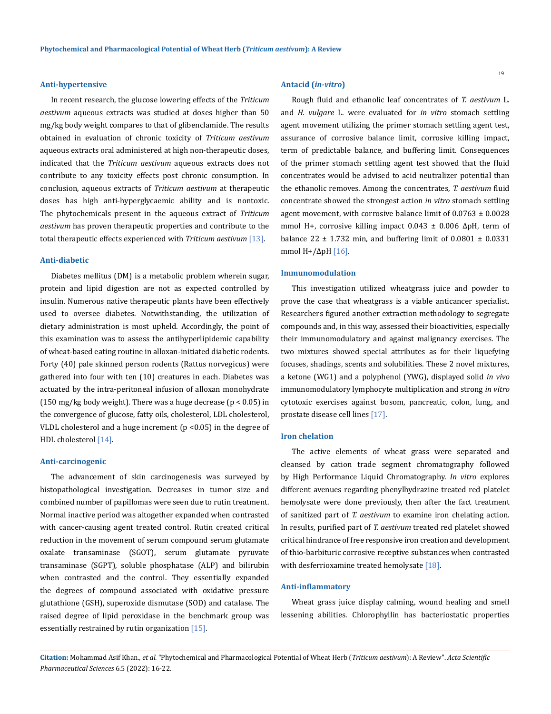#### **Anti-hypertensive**

In recent research, the glucose lowering effects of the *Triticum aestivum* aqueous extracts was studied at doses higher than 50 mg/kg body weight compares to that of glibenclamide. The results obtained in evaluation of chronic toxicity of *Triticum aestivum*  aqueous extracts oral administered at high non-therapeutic doses, indicated that the *Triticum aestivum* aqueous extracts does not contribute to any toxicity effects post chronic consumption. In conclusion, aqueous extracts of *Triticum aestivum* at therapeutic doses has high anti-hyperglycaemic ability and is nontoxic. The phytochemicals present in the aqueous extract of *Triticum aestivum* has proven therapeutic properties and contribute to the total therapeutic effects experienced with *Triticum aestivum* [13].

#### **Anti-diabetic**

Diabetes mellitus (DM) is a metabolic problem wherein sugar, protein and lipid digestion are not as expected controlled by insulin. Numerous native therapeutic plants have been effectively used to oversee diabetes. Notwithstanding, the utilization of dietary administration is most upheld. Accordingly, the point of this examination was to assess the antihyperlipidemic capability of wheat-based eating routine in alloxan-initiated diabetic rodents. Forty (40) pale skinned person rodents (Rattus norvegicus) were gathered into four with ten (10) creatures in each. Diabetes was actuated by the intra-peritoneal infusion of alloxan monohydrate (150 mg/kg body weight). There was a huge decrease ( $p < 0.05$ ) in the convergence of glucose, fatty oils, cholesterol, LDL cholesterol, VLDL cholesterol and a huge increment  $(p < 0.05)$  in the degree of HDL cholesterol [14].

#### **Anti-carcinogenic**

The advancement of skin carcinogenesis was surveyed by histopathological investigation. Decreases in tumor size and combined number of papillomas were seen due to rutin treatment. Normal inactive period was altogether expanded when contrasted with cancer-causing agent treated control. Rutin created critical reduction in the movement of serum compound serum glutamate oxalate transaminase (SGOT), serum glutamate pyruvate transaminase (SGPT), soluble phosphatase (ALP) and bilirubin when contrasted and the control. They essentially expanded the degrees of compound associated with oxidative pressure glutathione (GSH), superoxide dismutase (SOD) and catalase. The raised degree of lipid peroxidase in the benchmark group was essentially restrained by rutin organization  $[15]$ .

#### **Antacid (***in-vitro***)**

Rough fluid and ethanolic leaf concentrates of *T. aestivum* L. and *H. vulgare* L. were evaluated for *in vitro* stomach settling agent movement utilizing the primer stomach settling agent test, assurance of corrosive balance limit, corrosive killing impact, term of predictable balance, and buffering limit. Consequences of the primer stomach settling agent test showed that the fluid concentrates would be advised to acid neutralizer potential than the ethanolic removes. Among the concentrates, *T. aestivum* fluid concentrate showed the strongest action *in vitro* stomach settling agent movement, with corrosive balance limit of  $0.0763 \pm 0.0028$ mmol H+, corrosive killing impact  $0.043 \pm 0.006$   $\Delta$ pH, term of balance  $22 \pm 1.732$  min, and buffering limit of  $0.0801 \pm 0.0331$ mmol H+/ΔpH [16].

#### **Immunomodulation**

This investigation utilized wheatgrass juice and powder to prove the case that wheatgrass is a viable anticancer specialist. Researchers figured another extraction methodology to segregate compounds and, in this way, assessed their bioactivities, especially their immunomodulatory and against malignancy exercises. The two mixtures showed special attributes as for their liquefying focuses, shadings, scents and solubilities. These 2 novel mixtures, a ketone (WG1) and a polyphenol (YWG), displayed solid *in vivo* immunomodulatory lymphocyte multiplication and strong *in vitro* cytotoxic exercises against bosom, pancreatic, colon, lung, and prostate disease cell lines [17].

#### **Iron chelation**

The active elements of wheat grass were separated and cleansed by cation trade segment chromatography followed by High Performance Liquid Chromatography. *In vitro* explores different avenues regarding phenylhydrazine treated red platelet hemolysate were done previously, then after the fact treatment of sanitized part of *T. aestivum* to examine iron chelating action. In results, purified part of *T. aestivum* treated red platelet showed critical hindrance of free responsive iron creation and development of thio-barbituric corrosive receptive substances when contrasted with desferrioxamine treated hemolysate [18].

#### **Anti-inflammatory**

Wheat grass juice display calming, wound healing and smell lessening abilities. Chlorophyllin has bacteriostatic properties

**Citation:** Mohammad Asif Khan*., et al.* "Phytochemical and Pharmacological Potential of Wheat Herb (*Triticum aestivum*): A Review". *Acta Scientific Pharmaceutical Sciences* 6.5 (2022): 16-22.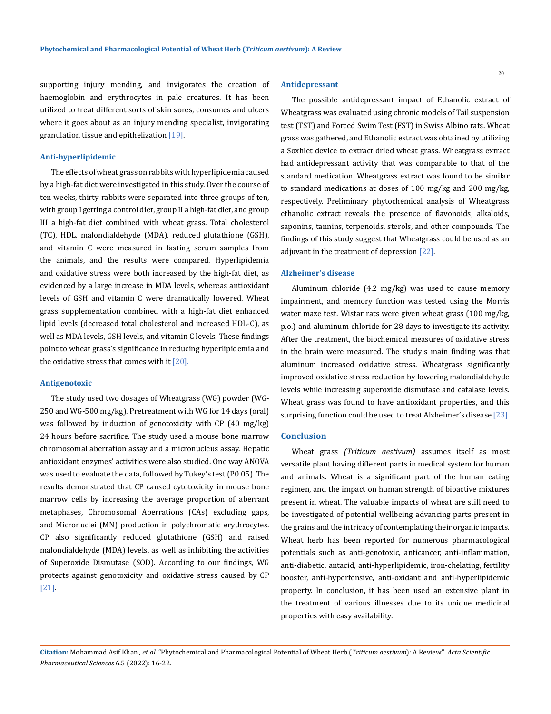supporting injury mending, and invigorates the creation of haemoglobin and erythrocytes in pale creatures. It has been utilized to treat different sorts of skin sores, consumes and ulcers where it goes about as an injury mending specialist, invigorating granulation tissue and epithelization [19].

#### **Anti-hyperlipidemic**

The effects of wheat grass on rabbits with hyperlipidemia caused by a high-fat diet were investigated in this study. Over the course of ten weeks, thirty rabbits were separated into three groups of ten, with group I getting a control diet, group II a high-fat diet, and group III a high-fat diet combined with wheat grass. Total cholesterol (TC), HDL, malondialdehyde (MDA), reduced glutathione (GSH), and vitamin C were measured in fasting serum samples from the animals, and the results were compared. Hyperlipidemia and oxidative stress were both increased by the high-fat diet, as evidenced by a large increase in MDA levels, whereas antioxidant levels of GSH and vitamin C were dramatically lowered. Wheat grass supplementation combined with a high-fat diet enhanced lipid levels (decreased total cholesterol and increased HDL-C), as well as MDA levels, GSH levels, and vitamin C levels. These findings point to wheat grass's significance in reducing hyperlipidemia and the oxidative stress that comes with it  $[20]$ .

#### **Antigenotoxic**

The study used two dosages of Wheatgrass (WG) powder (WG-250 and WG-500 mg/kg). Pretreatment with WG for 14 days (oral) was followed by induction of genotoxicity with CP (40 mg/kg) 24 hours before sacrifice. The study used a mouse bone marrow chromosomal aberration assay and a micronucleus assay. Hepatic antioxidant enzymes' activities were also studied. One way ANOVA was used to evaluate the data, followed by Tukey's test (P0.05). The results demonstrated that CP caused cytotoxicity in mouse bone marrow cells by increasing the average proportion of aberrant metaphases, Chromosomal Aberrations (CAs) excluding gaps, and Micronuclei (MN) production in polychromatic erythrocytes. CP also significantly reduced glutathione (GSH) and raised malondialdehyde (MDA) levels, as well as inhibiting the activities of Superoxide Dismutase (SOD). According to our findings, WG protects against genotoxicity and oxidative stress caused by CP [21].

#### **Antidepressant**

The possible antidepressant impact of Ethanolic extract of Wheatgrass was evaluated using chronic models of Tail suspension test (TST) and Forced Swim Test (FST) in Swiss Albino rats. Wheat grass was gathered, and Ethanolic extract was obtained by utilizing a Soxhlet device to extract dried wheat grass. Wheatgrass extract had antidepressant activity that was comparable to that of the standard medication. Wheatgrass extract was found to be similar to standard medications at doses of 100 mg/kg and 200 mg/kg, respectively. Preliminary phytochemical analysis of Wheatgrass ethanolic extract reveals the presence of flavonoids, alkaloids, saponins, tannins, terpenoids, sterols, and other compounds. The findings of this study suggest that Wheatgrass could be used as an adjuvant in the treatment of depression [22].

#### **Alzheimer's disease**

Aluminum chloride (4.2 mg/kg) was used to cause memory impairment, and memory function was tested using the Morris water maze test. Wistar rats were given wheat grass (100 mg/kg, p.o.) and aluminum chloride for 28 days to investigate its activity. After the treatment, the biochemical measures of oxidative stress in the brain were measured. The study's main finding was that aluminum increased oxidative stress. Wheatgrass significantly improved oxidative stress reduction by lowering malondialdehyde levels while increasing superoxide dismutase and catalase levels. Wheat grass was found to have antioxidant properties, and this surprising function could be used to treat Alzheimer's disease [23].

## **Conclusion**

Wheat grass *(Triticum aestivum)* assumes itself as most versatile plant having different parts in medical system for human and animals. Wheat is a significant part of the human eating regimen, and the impact on human strength of bioactive mixtures present in wheat. The valuable impacts of wheat are still need to be investigated of potential wellbeing advancing parts present in the grains and the intricacy of contemplating their organic impacts. Wheat herb has been reported for numerous pharmacological potentials such as anti-genotoxic, anticancer, anti-inflammation, anti-diabetic, antacid, anti-hyperlipidemic, iron-chelating, fertility booster, anti-hypertensive, anti-oxidant and anti-hyperlipidemic property. In conclusion, it has been used an extensive plant in the treatment of various illnesses due to its unique medicinal properties with easy availability.

**Citation:** Mohammad Asif Khan*., et al.* "Phytochemical and Pharmacological Potential of Wheat Herb (*Triticum aestivum*): A Review". *Acta Scientific Pharmaceutical Sciences* 6.5 (2022): 16-22.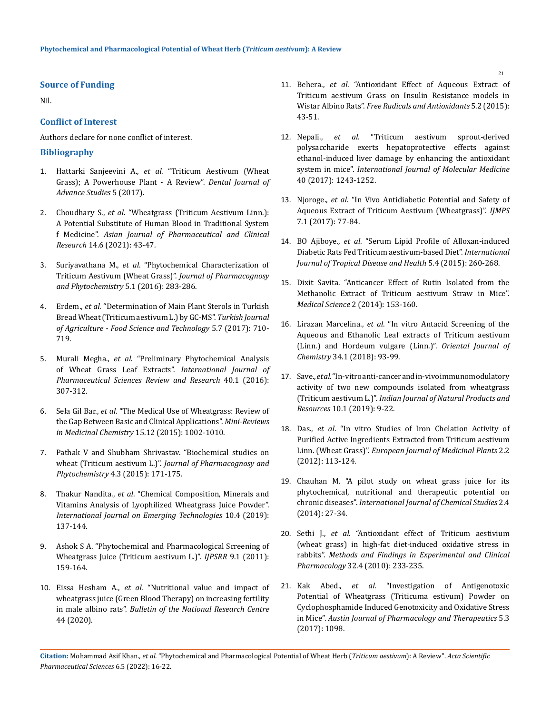#### **Source of Funding**

Nil.

## **Conflict of Interest**

Authors declare for none conflict of interest.

## **Bibliography**

- 1. Hattarki Sanjeevini A., *et al*[. "Triticum Aestivum \(Wheat](https://www.researchgate.net/publication/328109789_Triticum_AestivumWheat_Grass_A_Power_House_Plant_-_A_Review)  [Grass\); A Powerhouse Plant - A Review".](https://www.researchgate.net/publication/328109789_Triticum_AestivumWheat_Grass_A_Power_House_Plant_-_A_Review) *Dental Journal of [Advance Studies](https://www.researchgate.net/publication/328109789_Triticum_AestivumWheat_Grass_A_Power_House_Plant_-_A_Review)* 5 (2017).
- 2. Choudhary S., *et al*[. "Wheatgrass \(Triticum Aestivum Linn.\):](https://innovareacademics.in/journals/index.php/ajpcr/article/view/41575)  [A Potential Substitute of Human Blood in Traditional System](https://innovareacademics.in/journals/index.php/ajpcr/article/view/41575)  f Medicine". *[Asian Journal of Pharmaceutical and Clinical](https://innovareacademics.in/journals/index.php/ajpcr/article/view/41575)  Research* [14.6 \(2021\): 43-47.](https://innovareacademics.in/journals/index.php/ajpcr/article/view/41575)
- 3. Suriyavathana M., *et al*[. "Phytochemical Characterization of](https://www.phytojournal.com/archives/2016/vol5issue1/PartD/5-1-16.pdf)  [Triticum Aestivum \(Wheat Grass\)".](https://www.phytojournal.com/archives/2016/vol5issue1/PartD/5-1-16.pdf) *Journal of Pharmacognosy [and Phytochemistry](https://www.phytojournal.com/archives/2016/vol5issue1/PartD/5-1-16.pdf)* 5.1 (2016): 283-286.
- 4. Erdem., *et al*[. "Determination of Main Plant Sterols in Turkish](https://www.researchgate.net/publication/318598497_Determination_of_Main_Plant_Sterols_in_Turkish_Bread_Wheat_Triticum_aestivum_L_by_GC-MS)  [Bread Wheat \(Triticum aestivum L.\) by GC-MS".](https://www.researchgate.net/publication/318598497_Determination_of_Main_Plant_Sterols_in_Turkish_Bread_Wheat_Triticum_aestivum_L_by_GC-MS) *Turkish Journal [of Agriculture - Food Science and Technology](https://www.researchgate.net/publication/318598497_Determination_of_Main_Plant_Sterols_in_Turkish_Bread_Wheat_Triticum_aestivum_L_by_GC-MS)* 5.7 (2017): 710- [719.](https://www.researchgate.net/publication/318598497_Determination_of_Main_Plant_Sterols_in_Turkish_Bread_Wheat_Triticum_aestivum_L_by_GC-MS)
- 5. Murali Megha., *et al*[. "Preliminary Phytochemical Analysis](https://globalresearchonline.net/journalcontents/v40-1/56.pdf)  [of Wheat Grass Leaf Extracts".](https://globalresearchonline.net/journalcontents/v40-1/56.pdf) *International Journal of [Pharmaceutical Sciences Review and Research](https://globalresearchonline.net/journalcontents/v40-1/56.pdf)* 40.1 (2016): [307-312.](https://globalresearchonline.net/journalcontents/v40-1/56.pdf)
- 6. Sela Gil Bar., *et al*[. "The Medical Use of Wheatgrass: Review of](https://pubmed.ncbi.nlm.nih.gov/26156538/)  [the Gap Between Basic and Clinical Applications".](https://pubmed.ncbi.nlm.nih.gov/26156538/) *Mini-Reviews in Medicinal Chemistry* [15.12 \(2015\): 1002-1010.](https://pubmed.ncbi.nlm.nih.gov/26156538/)
- 7. [Pathak V and Shubham Shrivastav. "Biochemical studies on](https://www.phytojournal.com/archives/2015/vol4issue3/PartC/4-3-32.pdf)  wheat (Triticum aestivum L.)". *[Journal of Pharmacognosy and](https://www.phytojournal.com/archives/2015/vol4issue3/PartC/4-3-32.pdf)  Phytochemistry* [4.3 \(2015\): 171-175.](https://www.phytojournal.com/archives/2015/vol4issue3/PartC/4-3-32.pdf)
- 8. Thakur Nandita., *et al*[. "Chemical Composition, Minerals and](https://www.researchgate.net/publication/340477392_Chemical_Composition_Minerals_and_Vitamins_Analysis_of_Lyophilized_Wheatgrass_Juice_Powder)  [Vitamins Analysis of Lyophilized Wheatgrass Juice Powder".](https://www.researchgate.net/publication/340477392_Chemical_Composition_Minerals_and_Vitamins_Analysis_of_Lyophilized_Wheatgrass_Juice_Powder)  *[International Journal on Emerging Technologies](https://www.researchgate.net/publication/340477392_Chemical_Composition_Minerals_and_Vitamins_Analysis_of_Lyophilized_Wheatgrass_Juice_Powder)* 10.4 (2019): [137-144.](https://www.researchgate.net/publication/340477392_Chemical_Composition_Minerals_and_Vitamins_Analysis_of_Lyophilized_Wheatgrass_Juice_Powder)
- 9. [Ashok S A. "Phytochemical and Pharmacological Screening of](https://www.researchgate.net/publication/289908203_Phytochemical_and_pharmacological_screening_of_wheatgrass_juice_Triticum_aestivum_L)  [Wheatgrass Juice \(Triticum aestivum L.\)".](https://www.researchgate.net/publication/289908203_Phytochemical_and_pharmacological_screening_of_wheatgrass_juice_Triticum_aestivum_L) *IJPSRR* 9.1 (2011): [159-164.](https://www.researchgate.net/publication/289908203_Phytochemical_and_pharmacological_screening_of_wheatgrass_juice_Triticum_aestivum_L)
- 10. Eissa Hesham A., *et al*[. "Nutritional value and impact of](https://bnrc.springeropen.com/articles/10.1186/s42269-020-0272-x)  [wheatgrass juice \(Green Blood Therapy\) on increasing fertility](https://bnrc.springeropen.com/articles/10.1186/s42269-020-0272-x)  in male albino rats". *[Bulletin of the National Research Centre](https://bnrc.springeropen.com/articles/10.1186/s42269-020-0272-x)* [44 \(2020\).](https://bnrc.springeropen.com/articles/10.1186/s42269-020-0272-x)
- 11. Behera., *et al*[. "Antioxidant Effect of Aqueous Extract of](https://www.antiox.org/index.php/fra/article/view/36)  [Triticum aestivum Grass on Insulin Resistance models in](https://www.antiox.org/index.php/fra/article/view/36)  Wistar Albino Rats". *[Free Radicals and Antioxidants](https://www.antiox.org/index.php/fra/article/view/36)* 5.2 (2015): [43-51.](https://www.antiox.org/index.php/fra/article/view/36)
- 12. Nepali., *et al*[. "Triticum aestivum sprout-derived](https://www.spandidos-publications.com/10.3892/ijmm.2017.3095)  [polysaccharide exerts hepatoprotective effects against](https://www.spandidos-publications.com/10.3892/ijmm.2017.3095)  [ethanol-induced liver damage by enhancing the antioxidant](https://www.spandidos-publications.com/10.3892/ijmm.2017.3095)  system in mice". *[International Journal of Molecular Medicine](https://www.spandidos-publications.com/10.3892/ijmm.2017.3095)*  [40 \(2017\): 1243-1252.](https://www.spandidos-publications.com/10.3892/ijmm.2017.3095)
- 13. Njoroge., *et al*[. "In Vivo Antidiabetic Potential and Safety of](https://ir-library.ku.ac.ke/handle/123456789/15470)  [Aqueous Extract of Triticum Aestivum \(Wheatgrass\)".](https://ir-library.ku.ac.ke/handle/123456789/15470) *IJMPS* [7.1 \(2017\): 77-84.](https://ir-library.ku.ac.ke/handle/123456789/15470)
- 14. BO Ajiboye., *et al*[. "Serum Lipid Profile of Alloxan-induced](https://www.researchgate.net/publication/273167930_Serum_Lipid_Profile_of_Alloxan-induced_Diabetic_Rats_Fed_Triticum_aestivum-based_Diet)  [Diabetic Rats Fed Triticum aestivum-based Diet".](https://www.researchgate.net/publication/273167930_Serum_Lipid_Profile_of_Alloxan-induced_Diabetic_Rats_Fed_Triticum_aestivum-based_Diet) *International [Journal of Tropical Disease and Health](https://www.researchgate.net/publication/273167930_Serum_Lipid_Profile_of_Alloxan-induced_Diabetic_Rats_Fed_Triticum_aestivum-based_Diet)* 5.4 (2015): 260-268.
- 15. [Dixit Savita. "Anticancer Effect of Rutin Isolated from the](https://www.mdpi.com/2076-3271/2/4/153)  [Methanolic Extract of Triticum aestivum Straw in Mice".](https://www.mdpi.com/2076-3271/2/4/153)  *Medical Science* [2 \(2014\): 153-160.](https://www.mdpi.com/2076-3271/2/4/153)
- 16. Lirazan Marcelina., *et al*[. "In vitro Antacid Screening of the](http://www.orientjchem.org/vol34no1/in-vitro-antacid-screening-of-the-aqueous-and-ethanolic-leaf-extracts-of-triticum-aestivum-linn-and-hordeum-vulgare-linn/)  [Aqueous and Ethanolic Leaf extracts of Triticum aestivum](http://www.orientjchem.org/vol34no1/in-vitro-antacid-screening-of-the-aqueous-and-ethanolic-leaf-extracts-of-triticum-aestivum-linn-and-hordeum-vulgare-linn/)  [\(Linn.\) and Hordeum vulgare \(Linn.\)".](http://www.orientjchem.org/vol34no1/in-vitro-antacid-screening-of-the-aqueous-and-ethanolic-leaf-extracts-of-triticum-aestivum-linn-and-hordeum-vulgare-linn/) *Oriental Journal of Chemistry* [34.1 \(2018\): 93-99.](http://www.orientjchem.org/vol34no1/in-vitro-antacid-screening-of-the-aqueous-and-ethanolic-leaf-extracts-of-triticum-aestivum-linn-and-hordeum-vulgare-linn/)
- 17. Save., *et al*[. "In-vitro anti-cancer and in-vivo immunomodulatory](http://nopr.niscair.res.in/handle/123456789/50430)  [activity of two new compounds isolated from wheatgrass](http://nopr.niscair.res.in/handle/123456789/50430)  (Triticum aestivum L.)". *[Indian Journal of Natural Products and](http://nopr.niscair.res.in/handle/123456789/50430)  Resources* [10.1 \(2019\): 9-22.](http://nopr.niscair.res.in/handle/123456789/50430)
- 18. Das., *et al*[. "In vitro Studies of Iron Chelation Activity of](https://journalejmp.com/index.php/EJMP/article/view/28596)  [Purified Active Ingredients Extracted from Triticum aestivum](https://journalejmp.com/index.php/EJMP/article/view/28596)  Linn. (Wheat Grass)". *[European Journal of Medicinal Plants](https://journalejmp.com/index.php/EJMP/article/view/28596)* 2.2 [\(2012\): 113-124.](https://journalejmp.com/index.php/EJMP/article/view/28596)
- 19. [Chauhan M. "A pilot study on wheat grass juice for its](https://www.researchgate.net/publication/332810463_A_pilot_study_on_wheat_grass_juice_for_its_phytochemical_nutritional_and_therapeutic_potential_on_chronic_diseases)  [phytochemical, nutritional and therapeutic potential on](https://www.researchgate.net/publication/332810463_A_pilot_study_on_wheat_grass_juice_for_its_phytochemical_nutritional_and_therapeutic_potential_on_chronic_diseases)  chronic diseases". *[International Journal of Chemical Studies](https://www.researchgate.net/publication/332810463_A_pilot_study_on_wheat_grass_juice_for_its_phytochemical_nutritional_and_therapeutic_potential_on_chronic_diseases)* 2.4 [\(2014\): 27-34.](https://www.researchgate.net/publication/332810463_A_pilot_study_on_wheat_grass_juice_for_its_phytochemical_nutritional_and_therapeutic_potential_on_chronic_diseases)
- 20. Sethi J., *et al*[. "Antioxidant effect of Triticum aestivium](https://pubmed.ncbi.nlm.nih.gov/20508870/)  [\(wheat grass\) in high-fat diet-induced oxidative stress in](https://pubmed.ncbi.nlm.nih.gov/20508870/)  rabbits". *[Methods and Findings in Experimental and Clinical](https://pubmed.ncbi.nlm.nih.gov/20508870/)  Pharmacology* [32.4 \(2010\): 233-235.](https://pubmed.ncbi.nlm.nih.gov/20508870/)
- 21. Kak Abed., *et al*. "Investigation of Antigenotoxic Potential of Wheatgrass (Triticuma estivum) Powder on Cyclophosphamide Induced Genotoxicity and Oxidative Stress in Mice". *Austin Journal of Pharmacology and Therapeutics* 5.3 (2017): 1098.